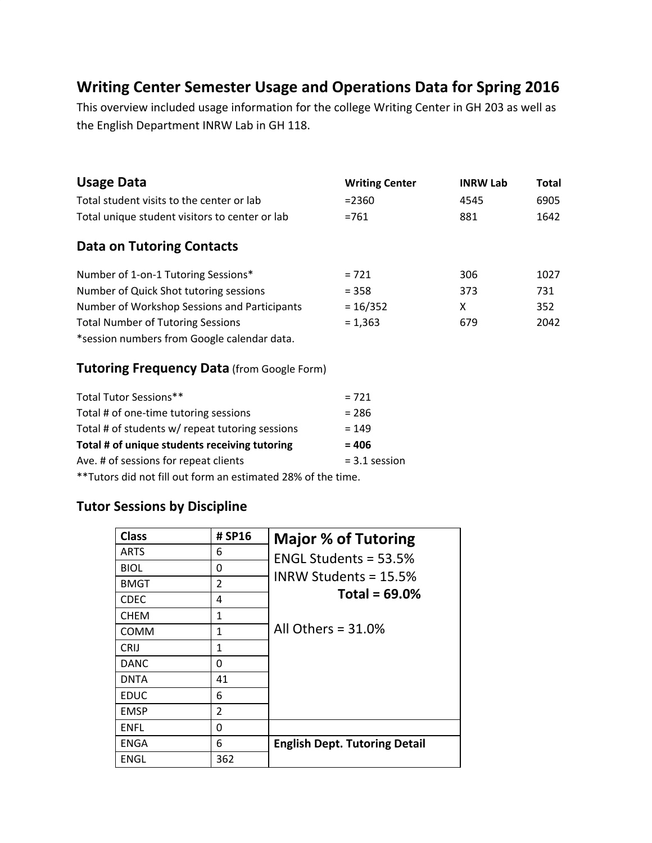# **Writing Center Semester Usage and Operations Data for Spring 2016**

This overview included usage information for the college Writing Center in GH 203 as well as the English Department INRW Lab in GH 118.

| <b>Usage Data</b>                              | <b>Writing Center</b> | <b>INRW Lab</b> | <b>Total</b> |
|------------------------------------------------|-----------------------|-----------------|--------------|
| Total student visits to the center or lab      | $= 2360$              | 4545            | 6905         |
| Total unique student visitors to center or lab | $=761$                | 881             | 1642         |
| <b>Data on Tutoring Contacts</b>               |                       |                 |              |
| Number of 1-on-1 Tutoring Sessions*            | $= 721$               | 306             | 1027         |
| Number of Quick Shot tutoring sessions         | $= 358$               | 373             | 731          |
| Number of Workshop Sessions and Participants   | $= 16/352$            | X               | 352          |
| <b>Total Number of Tutoring Sessions</b>       | $= 1,363$             | 679             | 2042         |
| *session numbers from Google calendar data.    |                       |                 |              |

#### **Tutoring Frequency Data** (from Google Form)

| Total Tutor Sessions**                                        | $= 721$         |  |
|---------------------------------------------------------------|-----------------|--|
| Total # of one-time tutoring sessions                         | $= 286$         |  |
| Total # of students w/ repeat tutoring sessions               | $= 149$         |  |
| Total # of unique students receiving tutoring                 | $= 406$         |  |
| Ave. # of sessions for repeat clients                         | $= 3.1$ session |  |
| ** Tutors did not fill out form an estimated 28% of the time. |                 |  |

### **Tutor Sessions by Discipline**

| <b>Class</b> | # SP16         | <b>Major % of Tutoring</b>           |
|--------------|----------------|--------------------------------------|
| <b>ARTS</b>  | 6              | ENGL Students = $53.5%$              |
| <b>BIOL</b>  | 0              |                                      |
| <b>BMGT</b>  | $\overline{2}$ | INRW Students = $15.5\%$             |
| <b>CDEC</b>  | 4              | Total = $69.0\%$                     |
| <b>CHEM</b>  | 1              |                                      |
| <b>COMM</b>  | 1              | All Others = $31.0\%$                |
| <b>CRIJ</b>  | $\mathbf{1}$   |                                      |
| <b>DANC</b>  | $\Omega$       |                                      |
| <b>DNTA</b>  | 41             |                                      |
| <b>EDUC</b>  | 6              |                                      |
| <b>EMSP</b>  | $\overline{2}$ |                                      |
| <b>ENFL</b>  | 0              |                                      |
| <b>ENGA</b>  | 6              | <b>English Dept. Tutoring Detail</b> |
| ENGL         | 362            |                                      |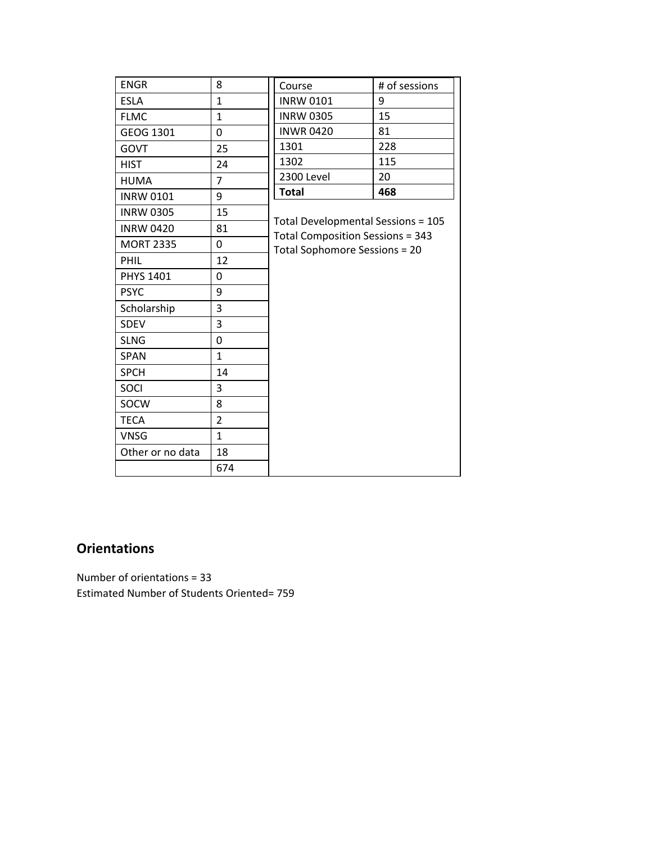| <b>ENGR</b>      | 8              | Course                                                                                                         | # of sessions |
|------------------|----------------|----------------------------------------------------------------------------------------------------------------|---------------|
| <b>ESLA</b>      | $\mathbf{1}$   | <b>INRW 0101</b>                                                                                               | 9             |
| <b>FLMC</b>      | $\mathbf{1}$   | <b>INRW 0305</b>                                                                                               | 15            |
| GEOG 1301        | 0              | <b>INWR0420</b>                                                                                                | 81            |
| <b>GOVT</b>      | 25             | 1301                                                                                                           | 228           |
| <b>HIST</b>      | 24             | 1302                                                                                                           | 115           |
| <b>HUMA</b>      | $\overline{7}$ | 2300 Level                                                                                                     | 20            |
| <b>INRW 0101</b> | 9              | <b>Total</b>                                                                                                   | 468           |
| <b>INRW 0305</b> | 15             |                                                                                                                |               |
| <b>INRW 0420</b> | 81             | Total Developmental Sessions = 105<br><b>Total Composition Sessions = 343</b><br>Total Sophomore Sessions = 20 |               |
| <b>MORT 2335</b> | 0              |                                                                                                                |               |
| PHIL             | 12             |                                                                                                                |               |
| <b>PHYS 1401</b> | 0              |                                                                                                                |               |
| <b>PSYC</b>      | 9              |                                                                                                                |               |
| Scholarship      | 3              |                                                                                                                |               |
| SDEV             | 3              |                                                                                                                |               |
| <b>SLNG</b>      | 0              |                                                                                                                |               |
| <b>SPAN</b>      | $\mathbf{1}$   |                                                                                                                |               |
| <b>SPCH</b>      | 14             |                                                                                                                |               |
| SOCI             | 3              |                                                                                                                |               |
| SOCW             | 8              |                                                                                                                |               |
| <b>TECA</b>      | $\overline{2}$ |                                                                                                                |               |
| <b>VNSG</b>      | $\mathbf{1}$   |                                                                                                                |               |
| Other or no data | 18             |                                                                                                                |               |
|                  | 674            |                                                                                                                |               |

### **Orientations**

Number of orientations = 33 Estimated Number of Students Oriented= 759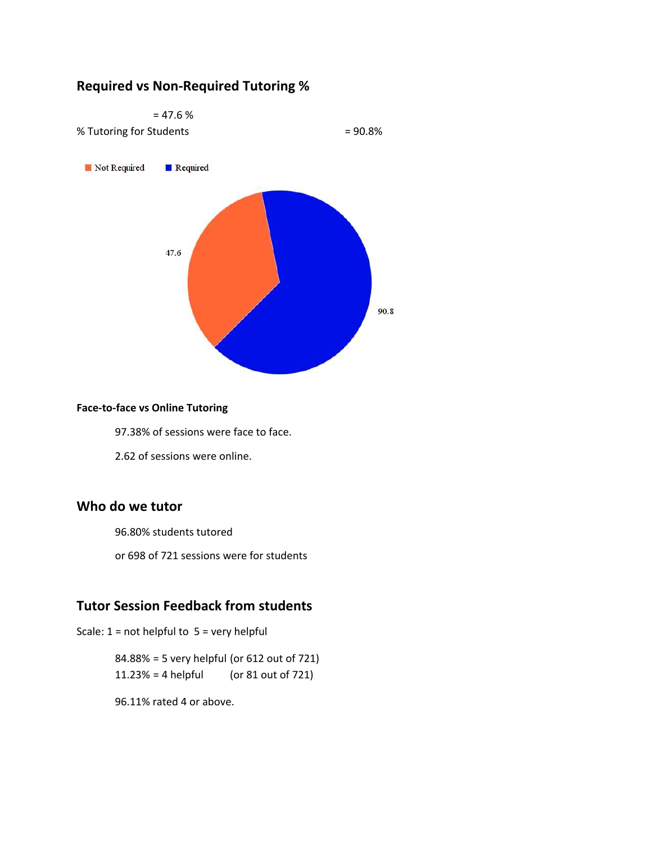#### **Required vs Non-Required Tutoring %**



#### **Face-to-face vs Online Tutoring**

97.38% of sessions were face to face.

2.62 of sessions were online.

#### **Who do we tutor**

96.80% students tutored

or 698 of 721 sessions were for students

#### **Tutor Session Feedback from students**

Scale:  $1 = not helpful to 5 = very helpful$ 

84.88% = 5 very helpful (or 612 out of 721) 11.23% = 4 helpful (or 81 out of 721)

96.11% rated 4 or above.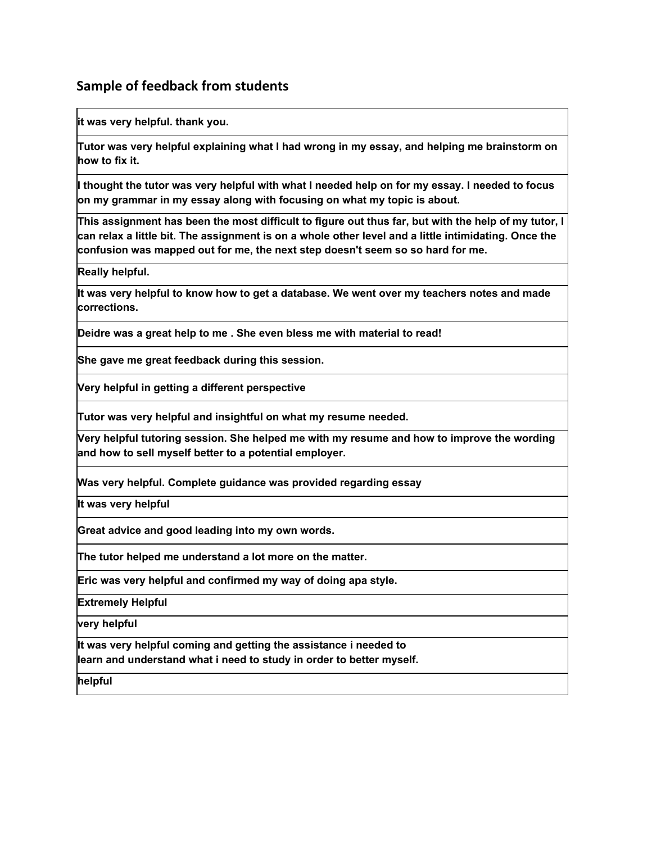#### **Sample of feedback from students**

**it was very helpful. thank you.**

**Tutor was very helpful explaining what I had wrong in my essay, and helping me brainstorm on how to fix it.**

I thought the tutor was very helpful with what I needed help on for my essay. I needed to focus **on my grammar in my essay along with focusing on what my topic is about.**

This assignment has been the most difficult to figure out thus far, but with the help of my tutor, I can relax a little bit. The assignment is on a whole other level and a little intimidating. Once the **confusion was mapped out for me, the next step doesn't seem so so hard for me.**

**Really helpful.**

**It was very helpful to know how to get a database. We went over my teachers notes and made corrections.**

**Deidre was a great help to me . She even bless me with material to read!**

**She gave me great feedback during this session.**

**Very helpful in getting a different perspective**

**Tutor was very helpful and insightful on what my resume needed.**

**Very helpful tutoring session. She helped me with my resume and how to improve the wording and how to sell myself better to a potential employer.**

**Was very helpful. Complete guidance was provided regarding essay**

**It was very helpful**

**Great advice and good leading into my own words.**

**The tutor helped me understand a lot more on the matter.**

**Eric was very helpful and confirmed my way of doing apa style.**

**Extremely Helpful**

**very helpful**

**It was very helpful coming and getting the assistance i needed to learn and understand what i need to study in order to better myself.**

**helpful**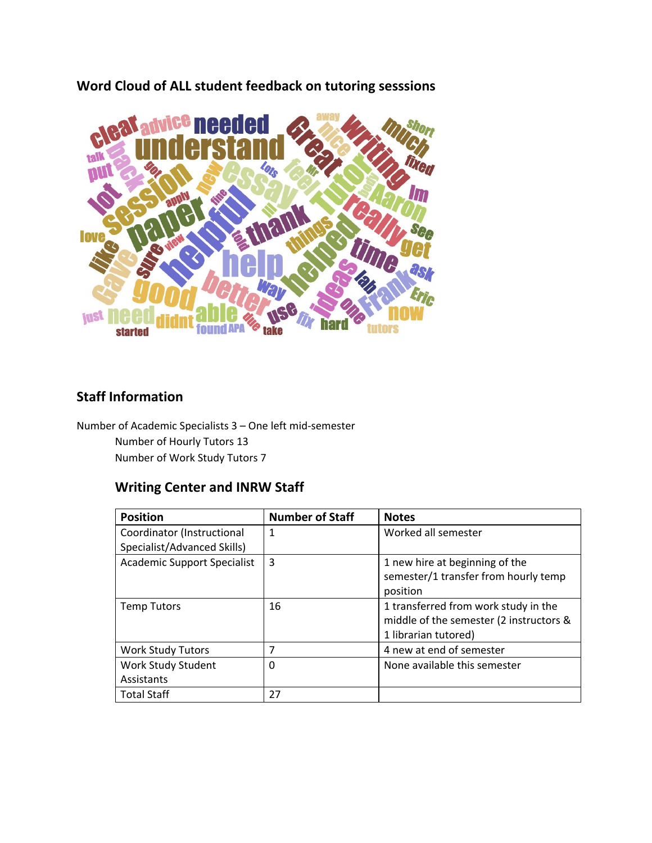**Word Cloud of ALL student feedback on tutoring sesssions**



## **Staff Information**

Number of Academic Specialists 3 – One left mid-semester Number of Hourly Tutors 13 Number of Work Study Tutors 7

### **Writing Center and INRW Staff**

| <b>Position</b>                    | <b>Number of Staff</b> | <b>Notes</b>                                                                                            |
|------------------------------------|------------------------|---------------------------------------------------------------------------------------------------------|
| Coordinator (Instructional         | 1                      | Worked all semester                                                                                     |
| Specialist/Advanced Skills)        |                        |                                                                                                         |
| <b>Academic Support Specialist</b> | 3                      | 1 new hire at beginning of the<br>semester/1 transfer from hourly temp<br>position                      |
| <b>Temp Tutors</b>                 | 16                     | 1 transferred from work study in the<br>middle of the semester (2 instructors &<br>1 librarian tutored) |
| <b>Work Study Tutors</b>           | 7                      | 4 new at end of semester                                                                                |
| Work Study Student                 | 0                      | None available this semester                                                                            |
| Assistants                         |                        |                                                                                                         |
| <b>Total Staff</b>                 | 27                     |                                                                                                         |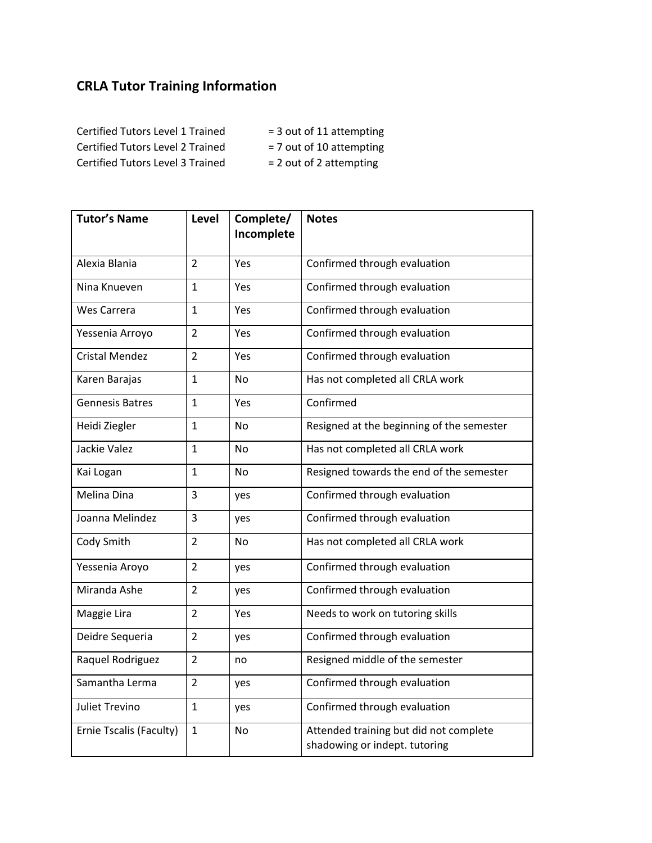# **CRLA Tutor Training Information**

Certified Tutors Level 1 Trained = 3 out of 11 attempting Certified Tutors Level 2 Trained = 7 out of 10 attempting Certified Tutors Level 3 Trained  $= 2$  out of 2 attempting

- -
- 

| <b>Tutor's Name</b>     | Level          | Complete/<br>Incomplete | <b>Notes</b>                                                            |
|-------------------------|----------------|-------------------------|-------------------------------------------------------------------------|
| Alexia Blania           | $\overline{2}$ | Yes                     | Confirmed through evaluation                                            |
| Nina Knueven            | 1              | Yes                     | Confirmed through evaluation                                            |
| Wes Carrera             | $\mathbf{1}$   | Yes                     | Confirmed through evaluation                                            |
| Yessenia Arroyo         | $\overline{2}$ | Yes                     | Confirmed through evaluation                                            |
| <b>Cristal Mendez</b>   | $\overline{2}$ | Yes                     | Confirmed through evaluation                                            |
| Karen Barajas           | $\mathbf{1}$   | <b>No</b>               | Has not completed all CRLA work                                         |
| <b>Gennesis Batres</b>  | $\mathbf{1}$   | Yes                     | Confirmed                                                               |
| Heidi Ziegler           | 1              | No                      | Resigned at the beginning of the semester                               |
| Jackie Valez            | 1              | <b>No</b>               | Has not completed all CRLA work                                         |
| Kai Logan               | $\mathbf{1}$   | <b>No</b>               | Resigned towards the end of the semester                                |
| Melina Dina             | 3              | yes                     | Confirmed through evaluation                                            |
| Joanna Melindez         | 3              | yes                     | Confirmed through evaluation                                            |
| Cody Smith              | $\overline{2}$ | No                      | Has not completed all CRLA work                                         |
| Yessenia Aroyo          | $\overline{2}$ | yes                     | Confirmed through evaluation                                            |
| Miranda Ashe            | $\overline{2}$ | yes                     | Confirmed through evaluation                                            |
| Maggie Lira             | $\overline{2}$ | Yes                     | Needs to work on tutoring skills                                        |
| Deidre Sequeria         | $\overline{2}$ | yes                     | Confirmed through evaluation                                            |
| Raquel Rodriguez        | $\overline{2}$ | no                      | Resigned middle of the semester                                         |
| Samantha Lerma          | $\overline{2}$ | yes                     | Confirmed through evaluation                                            |
| <b>Juliet Trevino</b>   | $\mathbf{1}$   | yes                     | Confirmed through evaluation                                            |
| Ernie Tscalis (Faculty) | $\mathbf{1}$   | No                      | Attended training but did not complete<br>shadowing or indept. tutoring |